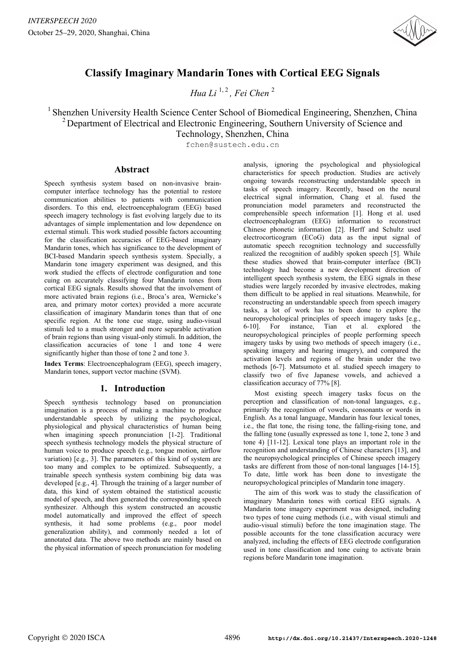

# **Classify Imaginary Mandarin Tones with Cortical EEG Signals**

*Hua Li*<sup> $1, 2$ </sup> *Fei Chen*<sup>2</sup>

# <sup>1</sup> Shenzhen University Health Science Center School of Biomedical Engineering, Shenzhen, China <sup>2</sup> Department of Electrical and Electronic Engineering, Southern University of Science and Technology, Shenzhen, China

fchen@sustech.edu.cn

### **Abstract**

Speech synthesis system based on non-invasive braincomputer interface technology has the potential to restore communication abilities to patients with communication disorders. To this end, electroencephalogram (EEG) based speech imagery technology is fast evolving largely due to its advantages of simple implementation and low dependence on external stimuli. This work studied possible factors accounting for the classification accuracies of EEG-based imaginary Mandarin tones, which has significance to the development of BCI-based Mandarin speech synthesis system. Specially, a Mandarin tone imagery experiment was designed, and this work studied the effects of electrode configuration and tone cuing on accurately classifying four Mandarin tones from cortical EEG signals. Results showed that the involvement of more activated brain regions (i.e., Broca's area, Wernicke's area, and primary motor cortex) provided a more accurate classification of imaginary Mandarin tones than that of one specific region. At the tone cue stage, using audio-visual stimuli led to a much stronger and more separable activation of brain regions than using visual-only stimuli. In addition, the classification accuracies of tone 1 and tone 4 were significantly higher than those of tone 2 and tone 3.

**Index Terms**: Electroencephalogram (EEG), speech imagery, Mandarin tones, support vector machine (SVM).

# **1. Introduction**

Speech synthesis technology based on pronunciation imagination is a process of making a machine to produce understandable speech by utilizing the psychological, physiological and physical characteristics of human being when imagining speech pronunciation [1-2]. Traditional speech synthesis technology models the physical structure of human voice to produce speech (e.g., tongue motion, airflow variation) [e.g., 3]. The parameters of this kind of system are too many and complex to be optimized. Subsequently, a trainable speech synthesis system combining big data was developed [e.g., 4]. Through the training of a larger number of data, this kind of system obtained the statistical acoustic model of speech, and then generated the corresponding speech synthesizer. Although this system constructed an acoustic model automatically and improved the effect of speech synthesis, it had some problems (e.g., poor model generalization ability), and commonly needed a lot of annotated data. The above two methods are mainly based on the physical information of speech pronunciation for modeling analysis, ignoring the psychological and physiological characteristics for speech production. Studies are actively ongoing towards reconstructing understandable speech in tasks of speech imagery. Recently, based on the neural electrical signal information, Chang et al. fused the pronunciation model parameters and reconstructed the comprehensible speech information [1]. Hong et al. used electroencephalogram (EEG) information to reconstruct Chinese phonetic information [2]. Herff and Schultz used electrocorticogram (ECoG) data as the input signal of automatic speech recognition technology and successfully realized the recognition of audibly spoken speech [5]. While these studies showed that brain-computer interface (BCI) technology had become a new development direction of intelligent speech synthesis system, the EEG signals in these studies were largely recorded by invasive electrodes, making them difficult to be applied in real situations. Meanwhile, for reconstructing an understandable speech from speech imagery tasks, a lot of work has to been done to explore the neuropsychological principles of speech imagery tasks [e.g., 6-10]. For instance, Tian et al. explored the neuropsychological principles of people performing speech imagery tasks by using two methods of speech imagery (i.e., speaking imagery and hearing imagery), and compared the activation levels and regions of the brain under the two methods [6-7]. Matsumoto et al. studied speech imagery to classify two of five Japanese vowels, and achieved a classification accuracy of 77% [8].

Most existing speech imagery tasks focus on the perception and classification of non-tonal languages, e.g., primarily the recognition of vowels, consonants or words in English. As a tonal language, Mandarin has four lexical tones, i.e., the flat tone, the rising tone, the falling-rising tone, and the falling tone (usually expressed as tone 1, tone 2, tone 3 and tone 4) [11-12]. Lexical tone plays an important role in the recognition and understanding of Chinese characters [13], and the neuropsychological principles of Chinese speech imagery tasks are different from those of non-tonal languages [14-15]. To date, little work has been done to investigate the neuropsychological principles of Mandarin tone imagery.

The aim of this work was to study the classification of imaginary Mandarin tones with cortical EEG signals. A Mandarin tone imagery experiment was designed, including two types of tone cuing methods (i.e., with visual stimuli and audio-visual stimuli) before the tone imagination stage. The possible accounts for the tone classification accuracy were analyzed, including the effects of EEG electrode configuration used in tone classification and tone cuing to activate brain regions before Mandarin tone imagination.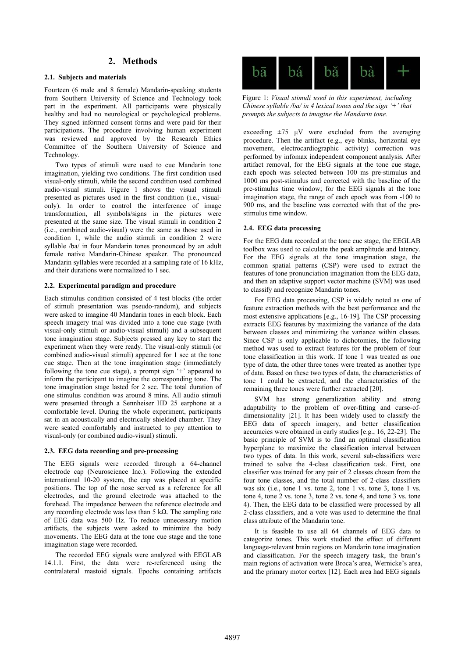### **2. Methods**

#### **2.1. Subjects and materials**

Fourteen (6 male and 8 female) Mandarin-speaking students from Southern University of Science and Technology took part in the experiment. All participants were physically healthy and had no neurological or psychological problems. They signed informed consent forms and were paid for their participations. The procedure involving human experiment was reviewed and approved by the Research Ethics Committee of the Southern University of Science and Technology.

Two types of stimuli were used to cue Mandarin tone imagination, yielding two conditions. The first condition used visual-only stimuli, while the second condition used combined audio-visual stimuli. Figure 1 shows the visual stimuli presented as pictures used in the first condition (i.e., visualonly). In order to control the interference of image transformation, all symbols/signs in the pictures were presented at the same size. The visual stimuli in condition 2 (i.e., combined audio-visual) were the same as those used in condition 1, while the audio stimuli in condition 2 were syllable /ba/ in four Mandarin tones pronounced by an adult female native Mandarin-Chinese speaker. The pronounced Mandarin syllables were recorded at a sampling rate of 16 kHz, and their durations were normalized to 1 sec.

#### **2.2. Experimental paradigm and procedure**

Each stimulus condition consisted of 4 test blocks (the order of stimuli presentation was pseudo-random), and subjects were asked to imagine 40 Mandarin tones in each block. Each speech imagery trial was divided into a tone cue stage (with visual-only stimuli or audio-visual stimuli) and a subsequent tone imagination stage. Subjects pressed any key to start the experiment when they were ready. The visual-only stimuli (or combined audio-visual stimuli) appeared for 1 sec at the tone cue stage. Then at the tone imagination stage (immediately following the tone cue stage), a prompt sign '+' appeared to inform the participant to imagine the corresponding tone. The tone imagination stage lasted for 2 sec. The total duration of one stimulus condition was around 8 mins. All audio stimuli were presented through a Sennheiser HD 25 earphone at a comfortable level. During the whole experiment, participants sat in an acoustically and electrically shielded chamber. They were seated comfortably and instructed to pay attention to visual-only (or combined audio-visual) stimuli.

#### **2.3. EEG data recording and pre-processing**

The EEG signals were recorded through a 64-channel electrode cap (Neuroscience Inc.). Following the extended international 10-20 system, the cap was placed at specific positions. The top of the nose served as a reference for all electrodes, and the ground electrode was attached to the forehead. The impedance between the reference electrode and any recording electrode was less than 5 kΩ. The sampling rate of EEG data was 500 Hz. To reduce unnecessary motion artifacts, the subjects were asked to minimize the body movements. The EEG data at the tone cue stage and the tone imagination stage were recorded.

The recorded EEG signals were analyzed with EEGLAB 14.1.1. First, the data were re-referenced using the contralateral mastoid signals. Epochs containing artifacts



Figure 1: *Visual stimuli used in this experiment, including Chinese syllable /ba/ in 4 lexical tones and the sign '+' that prompts the subjects to imagine the Mandarin tone.*

exceeding  $\pm 75$   $\mu$ V were excluded from the averaging procedure. Then the artifact (e.g., eye blinks, horizontal eye movement, electrocardiographic activity) correction was performed by infomax independent component analysis. After artifact removal, for the EEG signals at the tone cue stage, each epoch was selected between 100 ms pre-stimulus and 1000 ms post-stimulus and corrected with the baseline of the pre-stimulus time window; for the EEG signals at the tone imagination stage, the range of each epoch was from -100 to 900 ms, and the baseline was corrected with that of the prestimulus time window.

#### **2.4. EEG data processing**

For the EEG data recorded at the tone cue stage, the EEGLAB toolbox was used to calculate the peak amplitude and latency. For the EEG signals at the tone imagination stage, the common spatial patterns (CSP) were used to extract the features of tone pronunciation imagination from the EEG data, and then an adaptive support vector machine (SVM) was used to classify and recognize Mandarin tones.

For EEG data processing, CSP is widely noted as one of feature extraction methods with the best performance and the most extensive applications [e.g., 16-19]. The CSP processing extracts EEG features by maximizing the variance of the data between classes and minimizing the variance within classes. Since CSP is only applicable to dichotomies, the following method was used to extract features for the problem of four tone classification in this work. If tone 1 was treated as one type of data, the other three tones were treated as another type of data. Based on these two types of data, the characteristics of tone 1 could be extracted, and the characteristics of the remaining three tones were further extracted [20].

SVM has strong generalization ability and strong adaptability to the problem of over-fitting and curse-ofdimensionality [21]. It has been widely used to classify the EEG data of speech imagery, and better classification accuracies were obtained in early studies [e.g., 16, 22-23]. The basic principle of SVM is to find an optimal classification hyperplane to maximize the classification interval between two types of data. In this work, several sub-classifiers were trained to solve the 4-class classification task. First, one classifier was trained for any pair of 2 classes chosen from the four tone classes, and the total number of 2-class classifiers was six (i.e., tone 1 vs. tone 2, tone 1 vs. tone 3, tone 1 vs. tone 4, tone 2 vs. tone 3, tone 2 vs. tone 4, and tone 3 vs. tone 4). Then, the EEG data to be classified were processed by all 2-class classifiers, and a vote was used to determine the final class attribute of the Mandarin tone.

It is feasible to use all 64 channels of EEG data to categorize tones. This work studied the effect of different language-relevant brain regions on Mandarin tone imagination and classification. For the speech imagery task, the brain's main regions of activation were Broca's area, Wernicke's area, and the primary motor cortex [12]. Each area had EEG signals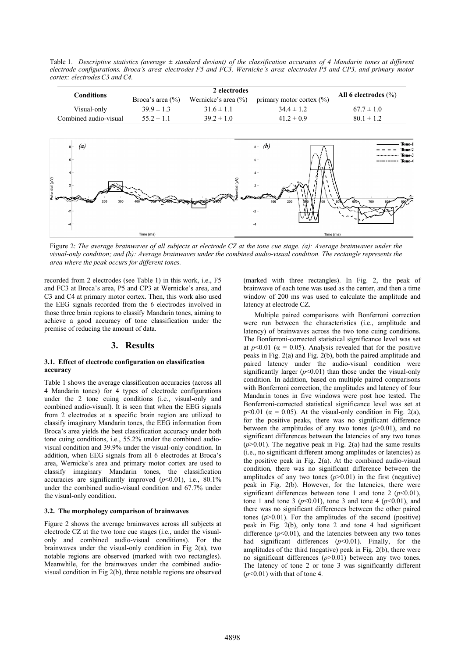Table 1. *Descriptive statistics (average ± standard deviant) of the classification accuracies of 4 Mandarin tones at different electrode configurations. Broca's area: electrodes F5 and FC3, Wernicke's area: electrodes P5 and CP3, and primary motor cortex: electrodes C3 and C4.*

| <b>Conditions</b>                                             | 2 electrodes         |                             |                               |                                             |
|---------------------------------------------------------------|----------------------|-----------------------------|-------------------------------|---------------------------------------------|
|                                                               | Broca's area $(\% )$ | Wernicke's area $(\% )$     | primary motor cortex $(\% )$  | All 6 electrodes $(\% )$                    |
| Visual-only                                                   | $39.9 \pm 1.3$       | $31.6 \pm 1.1$              | $34.4 \pm 1.2$                | $67.7 \pm 1.0$                              |
| Combined audio-visual                                         | $55.2 \pm 1.1$       | $39.2 \pm 1.0$              | $41.2 \pm 0.9$                | $80.1 \pm 1.2$                              |
| $\left(a\right)$<br>$8 -$<br>otential $(\mu V)$<br>300<br>200 |                      | antial $(\mu V)$<br>مخصاقية | $s - (b)$<br>200<br>100<br>00 | Tone-1<br>Tone-2<br>Tone-3<br>Tone-4<br>700 |
| Time (ms)                                                     |                      |                             | Time (ms)                     |                                             |

Figure 2: *The average brainwaves of all subjects at electrode CZ at the tone cue stage. (a): Average brainwaves under the visual-only condition; and (b): Average brainwaves under the combined audio-visual condition. The rectangle represents the area where the peak occurs for different tones.*

recorded from 2 electrodes (see Table 1) in this work, i.e., F5 and FC3 at Broca's area, P5 and CP3 at Wernicke's area, and C3 and C4 at primary motor cortex. Then, this work also used the EEG signals recorded from the 6 electrodes involved in those three brain regions to classify Mandarin tones, aiming to achieve a good accuracy of tone classification under the premise of reducing the amount of data.

#### **3. Results**

#### **3.1. Effect of electrode configuration on classification accuracy**

Table 1 shows the average classification accuracies (across all 4 Mandarin tones) for 4 types of electrode configurations under the 2 tone cuing conditions (i.e., visual-only and combined audio-visual). It is seen that when the EEG signals from 2 electrodes at a specific brain region are utilized to classify imaginary Mandarin tones, the EEG information from Broca's area yields the best classification accuracy under both tone cuing conditions, i.e., 55.2% under the combined audiovisual condition and 39.9% under the visual-only condition. In addition, when EEG signals from all 6 electrodes at Broca's area, Wernicke's area and primary motor cortex are used to classify imaginary Mandarin tones, the classification accuracies are significantly improved  $(p<0.01)$ , i.e., 80.1% under the combined audio-visual condition and 67.7% under the visual-only condition.

#### **3.2. The morphology comparison of brainwaves**

Figure 2 shows the average brainwaves across all subjects at electrode CZ at the two tone cue stages (i.e., under the visualonly and combined audio-visual conditions). For the brainwaves under the visual-only condition in Fig 2(a), two notable regions are observed (marked with two rectangles). Meanwhile, for the brainwaves under the combined audiovisual condition in Fig 2(b), three notable regions are observed

(marked with three rectangles). In Fig. 2, the peak of brainwave of each tone was used as the center, and then a time window of 200 ms was used to calculate the amplitude and latency at electrode CZ.

Multiple paired comparisons with Bonferroni correction were run between the characteristics (i.e., amplitude and latency) of brainwaves across the two tone cuing conditions. The Bonferroni-corrected statistical significance level was set at  $p<0.01$  ( $\alpha = 0.05$ ). Analysis revealed that for the positive peaks in Fig. 2(a) and Fig. 2(b), both the paired amplitude and paired latency under the audio-visual condition were significantly larger  $(p<0.01)$  than those under the visual-only condition. In addition, based on multiple paired comparisons with Bonferroni correction, the amplitudes and latency of four Mandarin tones in five windows were post hoc tested. The Bonferroni-corrected statistical significance level was set at p<0.01 ( $\alpha$  = 0.05). At the visual-only condition in Fig. 2(a), for the positive peaks, there was no significant difference between the amplitudes of any two tones (*p*>0.01), and no significant differences between the latencies of any two tones  $(p>0.01)$ . The negative peak in Fig. 2(a) had the same results (i.e., no significant different among amplitudes or latencies) as the positive peak in Fig. 2(a). At the combined audio-visual condition, there was no significant difference between the amplitudes of any two tones  $(p>0.01)$  in the first (negative) peak in Fig. 2(b). However, for the latencies, there were significant differences between tone 1 and tone 2  $(p<0.01)$ , tone 1 and tone 3 ( $p$ <0.01), tone 3 and tone 4 ( $p$ <0.01), and there was no significant differences between the other paired tones  $(p>0.01)$ . For the amplitudes of the second (positive) peak in Fig. 2(b), only tone 2 and tone 4 had significant difference  $(p<0.01)$ , and the latencies between any two tones had significant differences ( $p$ <0.01). Finally, for the amplitudes of the third (negative) peak in Fig. 2(b), there were no significant differences (*p*>0.01) between any two tones. The latency of tone 2 or tone 3 was significantly different  $(p<0.01)$  with that of tone 4.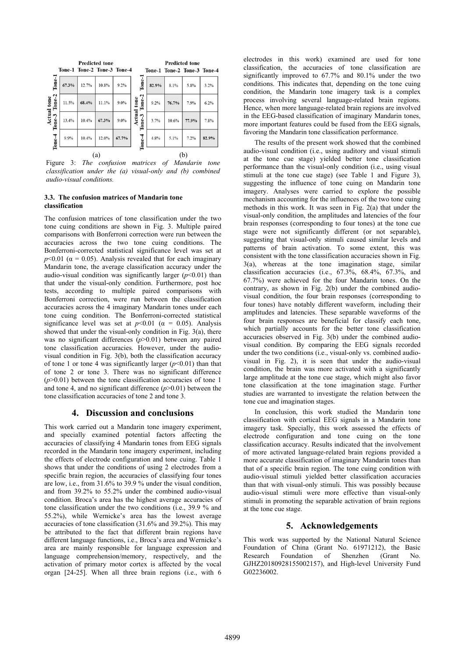

Figure 3: *The confusion matrices of Mandarin tone classification under the (a) visual-only and (b) combined audio-visual conditions.*

#### **3.3. The confusion matrices of Mandarin tone classification**

The confusion matrices of tone classification under the two tone cuing conditions are shown in Fig. 3. Multiple paired comparisons with Bonferroni correction were run between the accuracies across the two tone cuing conditions. The Bonferroni-corrected statistical significance level was set at  $p$ <0.01 ( $\alpha$  = 0.05). Analysis revealed that for each imaginary Mandarin tone, the average classification accuracy under the audio-visual condition was significantly larger  $(p<0.01)$  than that under the visual-only condition. Furthermore, post hoc tests, according to multiple paired comparisons with Bonferroni correction, were run between the classification accuracies across the 4 imaginary Mandarin tones under each tone cuing condition. The Bonferroni-corrected statistical significance level was set at  $p<0.01$  ( $\alpha = 0.05$ ). Analysis showed that under the visual-only condition in Fig. 3(a), there was no significant differences ( $p > 0.01$ ) between any paired tone classification accuracies. However, under the audiovisual condition in Fig. 3(b), both the classification accuracy of tone 1 or tone 4 was significantly larger  $(p<0.01)$  than that of tone 2 or tone 3. There was no significant difference  $(p>0.01)$  between the tone classification accuracies of tone 1 and tone 4, and no significant difference (*p*>0.01) between the tone classification accuracies of tone 2 and tone 3.

# **4. Discussion and conclusions**

This work carried out a Mandarin tone imagery experiment, and specially examined potential factors affecting the accuracies of classifying 4 Mandarin tones from EEG signals recorded in the Mandarin tone imagery experiment, including the effects of electrode configuration and tone cuing. Table 1 shows that under the conditions of using 2 electrodes from a specific brain region, the accuracies of classifying four tones are low, i.e., from 31.6% to 39.9 % under the visual condition, and from 39.2% to 55.2% under the combined audio-visual condition. Broca's area has the highest average accuracies of tone classification under the two conditions (i.e., 39.9 % and 55.2%), while Wernicke's area has the lowest average accuracies of tone classification (31.6% and 39.2%). This may be attributed to the fact that different brain regions have different language functions, i.e., Broca's area and Wernicke's area are mainly responsible for language expression and language comprehension/memory, respectively, and the activation of primary motor cortex is affected by the vocal organ [24-25]. When all three brain regions (i.e., with 6

electrodes in this work) examined are used for tone classification, the accuracies of tone classification are significantly improved to 67.7% and 80.1% under the two conditions. This indicates that, depending on the tone cuing condition, the Mandarin tone imagery task is a complex process involving several language-related brain regions. Hence, when more language-related brain regions are involved in the EEG-based classification of imaginary Mandarin tones, more important features could be fused from the EEG signals, favoring the Mandarin tone classification performance.

The results of the present work showed that the combined audio-visual condition (i.e., using auditory and visual stimuli at the tone cue stage) yielded better tone classification performance than the visual-only condition (i.e., using visual stimuli at the tone cue stage) (see Table 1 and Figure 3), suggesting the influence of tone cuing on Mandarin tone imagery. Analyses were carried to explore the possible mechanism accounting for the influences of the two tone cuing methods in this work. It was seen in Fig. 2(a) that under the visual-only condition, the amplitudes and latencies of the four brain responses (corresponding to four tones) at the tone cue stage were not significantly different (or not separable), suggesting that visual-only stimuli caused similar levels and patterns of brain activation. To some extent, this was consistent with the tone classification accuracies shown in Fig. 3(a), whereas at the tone imagination stage, similar classification accuracies (i.e., 67.3%, 68.4%, 67.3%, and 67.7%) were achieved for the four Mandarin tones. On the contrary, as shown in Fig. 2(b) under the combined audiovisual condition, the four brain responses (corresponding to four tones) have notably different waveform, including their amplitudes and latencies. These separable waveforms of the four brain responses are beneficial for classify each tone, which partially accounts for the better tone classification accuracies observed in Fig. 3(b) under the combined audiovisual condition. By comparing the EEG signals recorded under the two conditions (i.e., visual-only vs. combined audiovisual in Fig. 2), it is seen that under the audio-visual condition, the brain was more activated with a significantly large amplitude at the tone cue stage, which might also favor tone classification at the tone imagination stage. Further studies are warranted to investigate the relation between the tone cue and imagination stages.

In conclusion, this work studied the Mandarin tone classification with cortical EEG signals in a Mandarin tone imagery task. Specially, this work assessed the effects of electrode configuration and tone cuing on the tone classification accuracy. Results indicated that the involvement of more activated language-related brain regions provided a more accurate classification of imaginary Mandarin tones than that of a specific brain region. The tone cuing condition with audio-visual stimuli yielded better classification accuracies than that with visual-only stimuli. This was possibly because audio-visual stimuli were more effective than visual-only stimuli in promoting the separable activation of brain regions at the tone cue stage.

# **5. Acknowledgements**

This work was supported by the National Natural Science Foundation of China (Grant No. 61971212), the Basic Research Foundation of Shenzhen (Grant No. GJHZ20180928155002157), and High-level University Fund G02236002